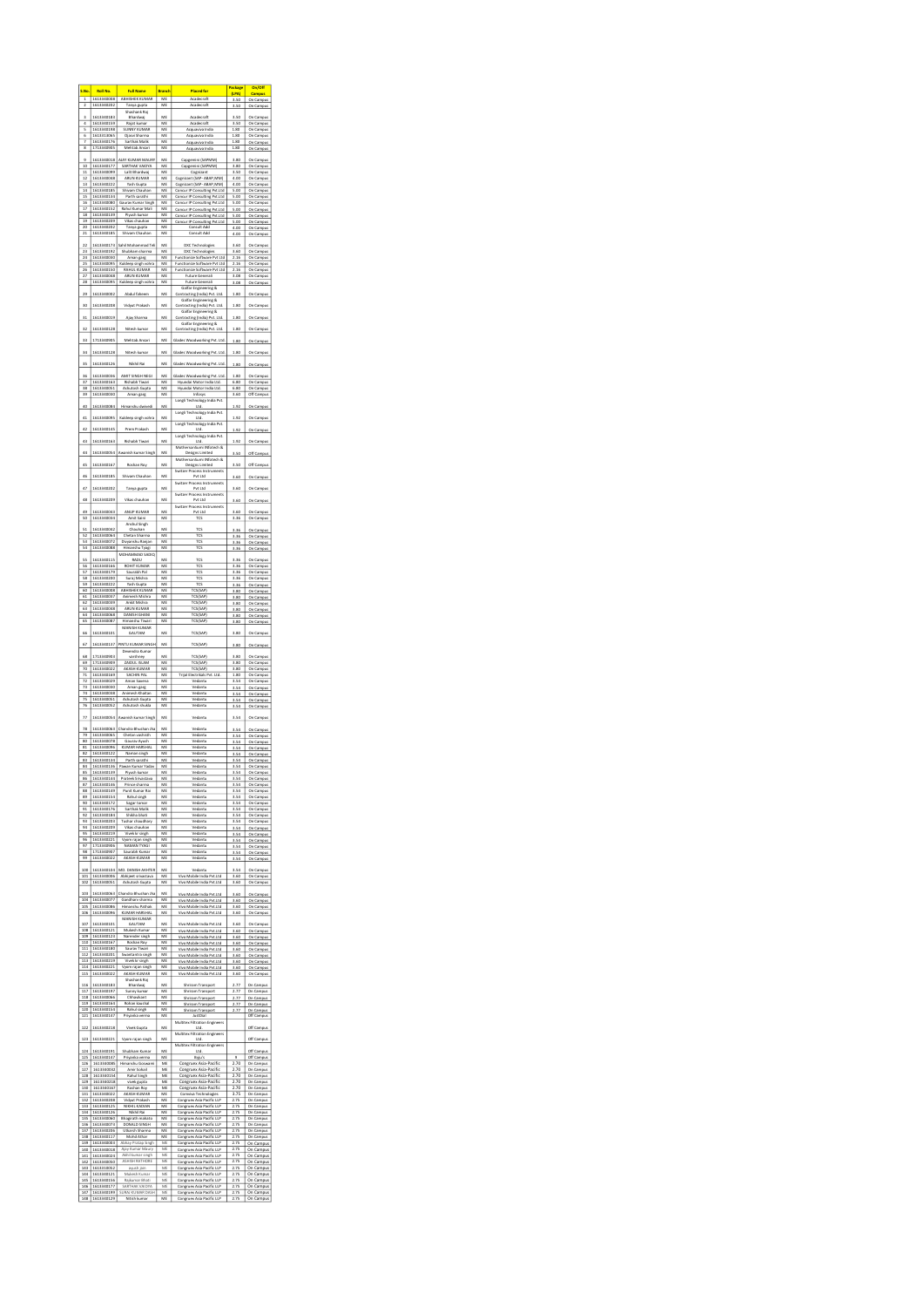| S.No.                                 | Roll No.                 | <b>Full Name</b>                               | Branch                | <b>Placed for</b>                                                   | f<br>(LPA)        | $v$ on<br>Campus                     |
|---------------------------------------|--------------------------|------------------------------------------------|-----------------------|---------------------------------------------------------------------|-------------------|--------------------------------------|
| 1                                     | 1613340008<br>1613340202 | ABHISHEK KUMAR<br>iya gupta                    | ME<br>ME              | Acadecraft<br>Acadecraft                                            | 3.50<br>3.50      | On Campus<br>On Campus               |
| 3                                     | 1613340183               | Shashank Raj<br>Bhardwaj                       | ME                    | Acadecraft                                                          |                   | On Campus                            |
| 4<br>$\overline{\phantom{a}}$         | 1613340159<br>1613340198 | Rajat kumar<br><b>NY KUMAR</b><br><b>SUI</b>   | ME<br>ME              | Acadecraft<br>Acquaviva India                                       | 3.50<br>1.80      | On Campus<br>On Campus               |
| $\overline{6}$                        | 1613313065<br>1613340176 | Ojasvi Sharr<br>arthak Malik                   | ME<br>ME              | Acquaviva India<br>Acquaviva India                                  | 1.80<br>1.80      | On Campus<br>On Campus               |
| 8                                     | 1713340905               | Mehtab Ansari                                  | ME                    | Acquaviva India                                                     | 1.80              | On Campus                            |
| 9<br>10                               | 1613340018<br>1613340177 | AJAY KUMAR MAURY<br><b>ARTHAK VAIDY</b>        | ME<br>ME              | Capgemini (SAPMM)                                                   | 3.80<br>3.80      | On Campus                            |
| 11<br>12                              | 1613340099<br>1613340048 | Lalit Bhardwaj<br>ARUN KUMAR                   | ME<br>ME              | Capgemini (SAPMM)<br>Cognizant<br>Cognizant (SAP- ABAP, MM)         | 3.50              | iput<br>On Campus                    |
| 13                                    | 1613340222               | Yash Gupta                                     | ME                    | Cognizant (SAP- ABAP, MM)                                           | 4.00<br>4.00      | On Campus<br>On Campus               |
| 14<br>15                              | 1613340185<br>1613340134 | Shivam Chauha<br>Parth sarathi                 | ME<br>ME              | Concur IP Consulting Pvt.Ltd<br>Concur IP Consulting Pvt.Ltd        | 5.00<br>5.00      | On Campus<br>On Campus               |
| 16<br>17                              | 1613340080<br>1613340152 | Gaurav Kumar Singh<br>Kumar Mal                | ME<br>ME              | Concur IP Consulting Pvt.Ltd<br>Concu<br>r IP Consulting Pvt.Ltd    | 5.00<br>5.00      | On Campus<br>On Campus               |
| $\overline{18}$<br>19                 | 1613340139<br>1613340209 | Piyush kun<br>Vikas chauhan                    | ME<br>ME              | Concur IP Consulting Pvt.Ltd                                        | 5.00              | On Campus                            |
| 20                                    | 1613340202               | ъ<br>nya gupta                                 | ME                    | Concur IP Consulting Pvt.Ltd<br>Consult Add                         | 5.00<br>4.00      | On Campus<br>On Campus               |
| 21                                    | 1613340185               | m Chauha<br>Shiya                              | ME                    | Consult Add                                                         | 4.00              | On Campus                            |
| 22<br>23                              | 1613340173<br>1613340192 | il Mohammad Teli<br>Shubham sharma             | ME<br>ME              | DXC Technologies<br>DXC Technologies                                | 3.60<br>3.60      | On Campus<br>On Campus               |
| 24<br>z                               | 1613340030<br>16133400   | Aman garg                                      | ME<br>ME              | Functionize Software Pvt Ltd<br>Fun<br>Soft<br>io F<br>he ind       | 2.16<br>2.16      | On Campus<br>On 0                    |
| 26<br>27                              | 1613340150<br>1613340048 | ideep singh volt<br>RAHUL KUMAR<br>ARUN KUMAR  | ME<br>ME              | Functionize Software Pvt Ltd<br>Future General                      | 2.16              | On Campus                            |
| 28                                    | 1613340095               | Kuldeep singh vohra                            | ME                    | Future General                                                      | 3.08<br>3.08      | On Campus<br>On Campus               |
| 29                                    | 1613340002               | Abdul faheem                                   | ME                    | Galfar Engineering &<br>ntracting (India) Pvt. Ltd                  | 1.80              | On Campus                            |
| 30                                    | 1613340208               | Vidyut Prakash                                 | ME                    | Galfar Engineering &<br>ntracting (India) P<br>114                  | 1.80              | On Campus                            |
| 31                                    | 1613340019               | Ajay Shari                                     | ME                    | Galfar Engineering &<br>ntracting (India) Pvt. Ltd                  | 1.80              | On Ca                                |
| 32                                    | 1613340128               | Nitesh k                                       | ME                    | Galfar Engineering &<br>Contracting (India) Pvt. Ltd.               | 1.80              | On Campus                            |
| 33                                    | 1713340905               | Mehtab Ansa                                    | ME                    | Glades Woodworking Pvt. Ltd                                         | 1.80              | On Campus                            |
|                                       |                          |                                                | ME                    |                                                                     |                   |                                      |
| 34                                    | 1613340128               | Nitesh ku                                      |                       | Glades Woodworking Pvt. Ltd                                         | 1.80              | On Ca<br>ipus                        |
| 35                                    | 1613340126               | Nikhil Rai                                     | ME                    | Glades Woodworking Pvt. Ltd                                         | 1.80              | On Ca                                |
| à,<br>37                              | 1613340036<br>1613340163 | AMIT SINGH NEG<br><b>Rishabh Tiwari</b>        | MF<br>ME              | Glades Woodworking Pr<br>t. Ltd<br>Hyundai Motor India Ltd          | 1.80<br>6.80      | On Campus<br>On Campus               |
| 38<br>39                              | 1613340051<br>1613340030 | Ashutosh Gupta<br>Aman garg                    | ME<br>ME              | Hyundai Motor India Ltd<br>Infosys                                  | 6.80<br>3.60      | On Campus<br>Off Campus              |
| 40                                    | 1613340084               | Himanshu dwived                                | ME                    | Longli Technology India Pvt.<br>Ltd.                                | 1.92              | On Campus                            |
| 41                                    | 1613340095               | K)<br>dá<br>ep singh                           | ME                    | Longli Technology India Pvt.<br>Ltd.                                |                   |                                      |
|                                       |                          |                                                |                       | Longli Technology India Pvt.                                        | 1.92              | On Campus                            |
| 42                                    | 1613340145               | p<br>n Prak                                    | ME                    | Ltd.<br>Longli Technology India Pvt.                                | 1.92              | On Car                               |
| 43                                    | 1613340163               | abh Tiwar                                      | ME                    | Ltd.<br>Moths<br>sonSumi INfotech &                                 | 1.92              | On Ca                                |
| 44                                    | 1613340054               | Awa<br>nish ku                                 | ME                    | Designs Lin<br>ited<br>MothersonSumi INfotech &                     | 3.50              | Off Cam                              |
| 45                                    | 1613340167               | Roshan Roy                                     | ME                    | Designs Limited<br>Switzer Process Instruments                      | 3.50              | Off Camp                             |
|                                       | 1613340185               | Sh<br>n Chauh                                  | ME                    | Put Ltd                                                             | 3.60              |                                      |
| 47                                    | 1613340202               | nya gupta                                      | ME                    | Switzer Process Instruments<br>Pvt Ltd                              | 3.60              | On Campus                            |
| 48                                    | 1613340209               | Vikas cha                                      | ME                    | Switzer Process Instruments<br>Put Ltd                              | 3.60              | On Campus                            |
|                                       | 161334<br>οd             | ANUP KUMAR                                     | ME                    | Switzer Process Instruments<br>Pvt Ltd                              | 3.60              | On Campus                            |
| 50                                    | 1613340034               | Amit Saini<br>Anshul Singh                     | ME                    | TCS                                                                 | 3.36              | On Campus                            |
| 51                                    | 1613340042<br>1613340064 | Chauhan<br>Chetan Sharma                       | ME<br>ME              | TCS                                                                 | 3.36<br>3.36      | On Campus<br>On Campus               |
| 52<br>53<br>54                        | 1613340072<br>1613340088 | Divyanshu Ranjan<br>lanshu Tyagi<br>Hi         | ME<br>ME              | TCS<br>TCS<br>TCS                                                   | 3.36<br>3.36      | On Campus<br>On Can<br>ipus          |
| 5S                                    | 1613340115               | MOHAMMAD SADIQ<br>RADU                         | ME                    |                                                                     | 3.36              | On Ca<br>npus                        |
| 56                                    | 1613340166               | ROHIT KUMAR                                    | ME                    | <b>TCS</b><br>TCS                                                   | 3.36              | On Campus                            |
| 57<br>58                              | 1613340179<br>1613340200 | Saurabh Pal<br>Suraj Mishra                    | ME<br>ME              | TCS<br>TCS                                                          | 3.36<br>3.36      | On Campus<br>On Campus               |
| 59<br>60                              | 1613340222<br>1613340008 | Yash Gupta<br>ABHISHEK KUMAR                   | ME<br>ME              | TCS<br>TCS(SAP)                                                     | 3.36<br>3.80      | On Campus<br>On Campus               |
| 61<br>62                              | 1613340037<br>1613340039 | Animesh Mishra<br>Ankit Mishra                 | ME<br>ME              | TCS(SAF<br>TCS(SAP)                                                 | 3.80<br>3.80      | On Campus<br>On Campus               |
| 63<br>64                              | 1613340048               | ARUN KUMAR                                     | ME                    | TCS(SAP)                                                            | 3.80              | On Campus                            |
| 65                                    | 1613340068<br>1613340087 | <b>DANISH GHANI</b><br>nshu Tiw<br>Him:        | ME<br>ME              | TCS(SA<br>TCS(SAP)                                                  | 3.80<br>3.80      | On Campus<br>On Campus               |
| 66                                    | 1613340101               | MANISH KUMAR<br>GAUTAM                         | ME                    | TCS(SAP)                                                            | 3.80              | On Campus                            |
| 67                                    | 1613340137               | PINTU KUMAR SINGH                              | ME                    | TCS(SAP)                                                            | 3.80              | On Campus                            |
| 68                                    | 1713340903               | Devendra Kumar<br>varshney                     | ME                    | TCS(SAP)                                                            | 3.80              | On Ca                                |
| 69<br>70                              | 1713340909<br>1613340022 | ZAIDUL ISLAM<br>KASH KUMAR                     | ME<br>ME              | TCS(SAP)<br>TCS(SAF                                                 | 3.80<br>3.80      | On Campus<br>On Campus               |
| 71                                    | 1613340169               | SACHIN PAL                                     | ME                    | Trijal Electrikals Pvt. Ltd                                         | 1.80              | On Campus                            |
| 72<br>73                              | 1613340029<br>1613340030 | Aman Saxe<br>Aman ga<br>rg                     | ME<br>ME              | Vedantu<br>nt i                                                     | 3.54<br>3.54      | On Campus<br>On Ca                   |
| 74<br>75                              | 1613340038<br>1613340051 | Animesh Khaitan<br>Ashutosh Gupta              | ME<br>ME              | Vedantu<br>Vedantu                                                  | 3.54<br>3.54      | On Campus<br>On Campus               |
| 76                                    | 1613340052               | Ashutosh shukla                                | ME                    | Vedantu                                                             | 3.54              | On Campus                            |
| 77                                    | 1613340054               | anish kumar Singh                              | ME                    | Vedantu                                                             | 3.54              | On Car                               |
| $\overline{r}$<br>79                  | 1613340063<br>1613340065 | Chandra Bhushan Jh<br>Chetan vashisth          | ME<br>ME              | Vedanti<br>Vedantu                                                  | 3.54              | On Campus                            |
| 80                                    | 1613340078               | Gaurav Ayush                                   | ME                    | Vedantu                                                             | 3.54<br>3.54      | On Campus<br>On Campus               |
| 81<br>82                              | 1613340096<br>1613340122 | KUMAR HARSHAI<br>Naman singh                   | ME<br>ME              | Vedantu<br>Vedantu                                                  | 3.54<br>3.54      | On Campus<br>On Campus               |
| 83<br>84                              | 1613340134<br>1613340136 | Parth sarathi<br>Pawan Kumar Yadav             | ME<br>ME              | Vedantu<br>Vedantu                                                  | 3.54              | On Campus                            |
| 85<br>86                              | 1613340139<br>1613340144 | Piyush kumar                                   | ME<br>ME              | Vedanti<br>Vedantu                                                  | 3.54<br>3.54<br>á | On Campus<br>On Campus<br>ipus       |
| 87                                    | 1613340146               | Prateek Srivasta<br>Prince sharma              | ME                    | Vedantu                                                             | 3.5<br>3.54       | On Can<br>On Campus                  |
| 88<br>$\overline{89}$                 | 1613340149<br>1613340154 | nit Kumar R<br>Rahul singh                     | ME<br>ME              | Vedantu<br>Verlanti                                                 | 3.54<br>3.54      | On Campus<br>On Campus               |
| 90<br>91                              | 1613340172<br>1613340176 | Sagar tomar<br>rthak Mali                      | ME<br>ME              | Vedantu<br>Vedantu                                                  | 3.54<br>3.54      | On Campus<br>On Campus               |
| $\frac{92}{93}$                       | 1613340184<br>1613340203 | a bhati<br>Shil<br>T<br>r chas<br>dhary<br>sh. | ME<br>ME              | Vedantu                                                             | 3.54<br>3.54      | On Campus<br>On Campus               |
| 94                                    | 1613340209               | Vikas chauha                                   | $\overline{ME}$       | Vedantu                                                             | 3.54              | On Campus                            |
| 95<br>96                              | 1613340219<br>1613340221 | Vivek kr singh<br>Vyom rajan singl             | ME<br>ME              | Vedantu<br>Vedantu                                                  | 3.54<br>3.54      | On Campus<br>On Campus               |
| 97<br>98                              | 1713340906<br>1713340907 | NAMAN TYAGI<br>Saurabh Kumar                   | ME<br>ME              | Vedantu<br>Vedantu                                                  | 3.54<br>3.54      | On Campus<br>On Campus               |
| 99                                    | 1613340022               | AKASH KUMAR                                    | ME                    | Vedantu                                                             | 3.54              | On Campus                            |
| 100<br>101                            | 1613340104<br>1613340006 | D. DANISH AKHTER<br>Abhijeet srivastava        | ME<br>ME              | ıntu<br>Vivo Mobile India Pvt.Ltd                                   | 3.54<br>3.60      | On Campus                            |
| 102                                   | 1613340051               | Ashutosh Gupta                                 | ME                    | Vivo Mobile India Pvt.Ltd                                           | 3.60              | On Campus<br>On Campus               |
| 103                                   | 1613340063               | Chandra Bhushan Jha                            | ME                    | Vivo Mobile India Pvt                                               | 3.60              | On Campus                            |
| 104<br>105                            | 1613340077<br>1613340086 | Gandharv sharma<br>Himanchii Pathak            | ME<br>ME              | Vivo Mobile India Pvt.Ltd<br>Vivo Mobile India Pvt.Ltd              | 3.60<br>3.60      | On Campus<br>On Campus               |
| 106                                   | 1613340096               | KUMAR HARSHAL<br>MANISH KUMAR                  | ME                    | Vivo Mobile India Pvt.Ltd                                           | 3.60              | On Campus                            |
| 107<br>108                            | 1613340101<br>1613340121 | GAUTAM<br>Mukesh Kumar                         | ME<br>ME              | Vivo Mobile India Pvt.Ltd<br>Vivo Mobile India Pvt.Ltd              | 3.60<br>3.60      | On Campus<br>On Campus               |
| 109                                   | 1613340123               | Narender singh                                 | ME                    | Vivo Mobile India Pvt.Ltd<br>Vivo Mobile India Pvt.Ltd              | 3.60              | On Campus                            |
| 110<br>111                            | 1613340167<br>1613340180 | Roshan Roy<br>Sauray Tim                       | ME<br>ME              | Vivo Mobile India Pvt.Ltd                                           | 3.60<br>3.60      | On Campus<br>On Campus               |
| 112<br>113                            | 1613340201<br>1613340219 | ntantra singl<br>Vivek kr s<br>ngh             | ME<br>ME              | o Mobile Inc<br>Pvt.Ltd<br>Vivo Mobile India Pvt.Ltd                | 3.60<br>3.60      | On Ca<br>mpus<br>On Campus           |
| 114<br>115                            | 1613340221<br>1613340022 | Vyom rajan singl<br><b>AKASH KUMAR</b>         | $\overline{M}$<br>ME  | Vivo Mobile India Pvt.Ltd<br>Vivo Mobile India Pvt.Ltd              | 3.60<br>3.60      | On Campus<br>On Campus               |
| 116                                   | 1613340183               | ashank Raj<br>Bhardwaj                         | ME                    | Shriram Transport                                                   | 2.77              | On Cam                               |
| 117<br>118                            | 1613340197<br>1613340066 | Sunny kuma<br>vikant                           | ME<br>$\overline{ME}$ | Shriram Transport                                                   | 2.77              | On Campus                            |
| 119                                   | 1613340164               | Chh2<br>Rohan kaushal                          | ME                    | riram Transport<br>Shriram Transport                                | 2.77<br>2.77      | On Ca<br>ipus<br>On Campus           |
| 120<br>121                            | 1613340154<br>1613340147 | Rahul singh<br>Priyanka verma                  | ME<br>ME              | Shriram Transport<br>JustDial                                       | 2.77              | On Campus<br>Off Campus              |
| 122                                   | 1613340218               | Vivek Gupta                                    | ME                    | Multitex Filtration Engineers<br>Ltd.                               |                   | Off Campus                           |
| 123                                   | 1613340221               | Vyom rajan singh                               | ME                    | Multitex Filtration Engineers<br>Ltd.                               |                   | Off Campus                           |
|                                       |                          |                                                |                       | Multitex Filtration Engineers                                       |                   |                                      |
| 124                                   | 1613340191<br>1613340147 | n Ki<br>Priyanka verma                         | ME<br>ME              | Ltd.<br>Byju's                                                      | 9                 | Off Campus                           |
| $\frac{125}{126}$<br>$\overline{127}$ | 1613340085<br>1613340032 | Himanshu Goswami                               | ME<br>ME              | Congruex Asia-Pacific<br>Congruex Asia<br>Pacif                     | 2.70<br>2.70      | Off Campus<br>On Campus<br>On Campus |
| 128                                   | 1613340154               | Rahul Singh                                    | ME                    | Congruex Asia-Pacific                                               | 2.70<br>2.70      | On Campus                            |
| $\frac{1}{129}$<br>130                | 1613340218<br>1613340167 | vivek gupta<br>Roshan Roy                      | ME<br>ME              | Congruex Asia-Pacif<br>Congruex Asia-Pacific                        | 2.70              | On Ca<br>tpus<br>On Ca<br>pus        |
| 131<br>132                            | 1613340022<br>1613340208 | AKASH KUMAR<br>Vidyut Prakash                  | ME<br>ME              | Comviva Technologies<br>Congruex Asia Pacific LLF                   | 3.75<br>2.75      | On Campus<br>On Campus               |
| 133<br>134                            | 1613340125<br>1613340126 | NIKHIL KADIAN<br>Nichil Rai                    | ME<br>ME              | Congr<br>ex Asia Pacific LLF<br>Congruex Asia Pacific LLP           | 2.75<br>2.75      | On C<br>On Campus                    |
| 135                                   | 1613340060               | Bhagirath mahato                               | ME                    | Congruex Asia Pacific LLP                                           | 2.75<br>2.75      | On Car<br>npus                       |
| 130<br>137                            | 1613340073<br>1613340206 | DONALD SINGH<br>Utkarsh Sharma                 | ME<br>ME              | x Asia Pa<br>Cc<br>ngi<br>cific LLF<br>ex Asia Pacific LLF<br>Congn | 2.75              | On C<br>On Ca<br>ipus                |
| 138<br>139                            | 1613340117<br>1613340003 | Mohd Atha<br>Abhay Pratap Singl                | ME<br>ME              | ex Asia Pacific LLP<br>Congn<br>Congruex Asia Pacific LLF           | 2.75<br>2.75      | On Ca<br>ipus<br>On Campus           |
| 140<br>141                            | 1613340018<br>1613340024 | Ajay Kumar Maury<br>Akhil kumar singh          | ME<br>ME              | Congruex Asia Pacific LLI<br>Congruex Asia Pacific LLP              | 2.75<br>2.75      | On Campus<br>On Campus               |
| 142<br>143                            | 1613340050<br>1613310052 | <b>ASHISH RATHORE</b><br>a,                    | ME<br>M               | Congruex Asia Pacific LLP<br>ex Asia Pacific LLI<br>Congn           | 2.75<br>79        | On Campus                            |
| 144                                   | 1613340121               | Mukesh Kumar                                   | ME                    | Congruex Asia Pacific LLP                                           | 2.75              | On Campus<br>On Campus               |
| 145<br>146                            | 1613340156<br>1613340177 | Rajkumar Bhati<br>SARTH<br>AK VAIDYA           | ME<br>ME              | Congruex Asia Pacific LLP<br>Congruex Asia Pacific LLP              | 2.75<br>2.75      | On Campus<br>On Campus               |
| 147                                   | 1613340199               | SURAJ KUMAR DASH                               | ME                    | ex Asia Pacific LLP<br>Congru                                       | 2.75              | On Campus                            |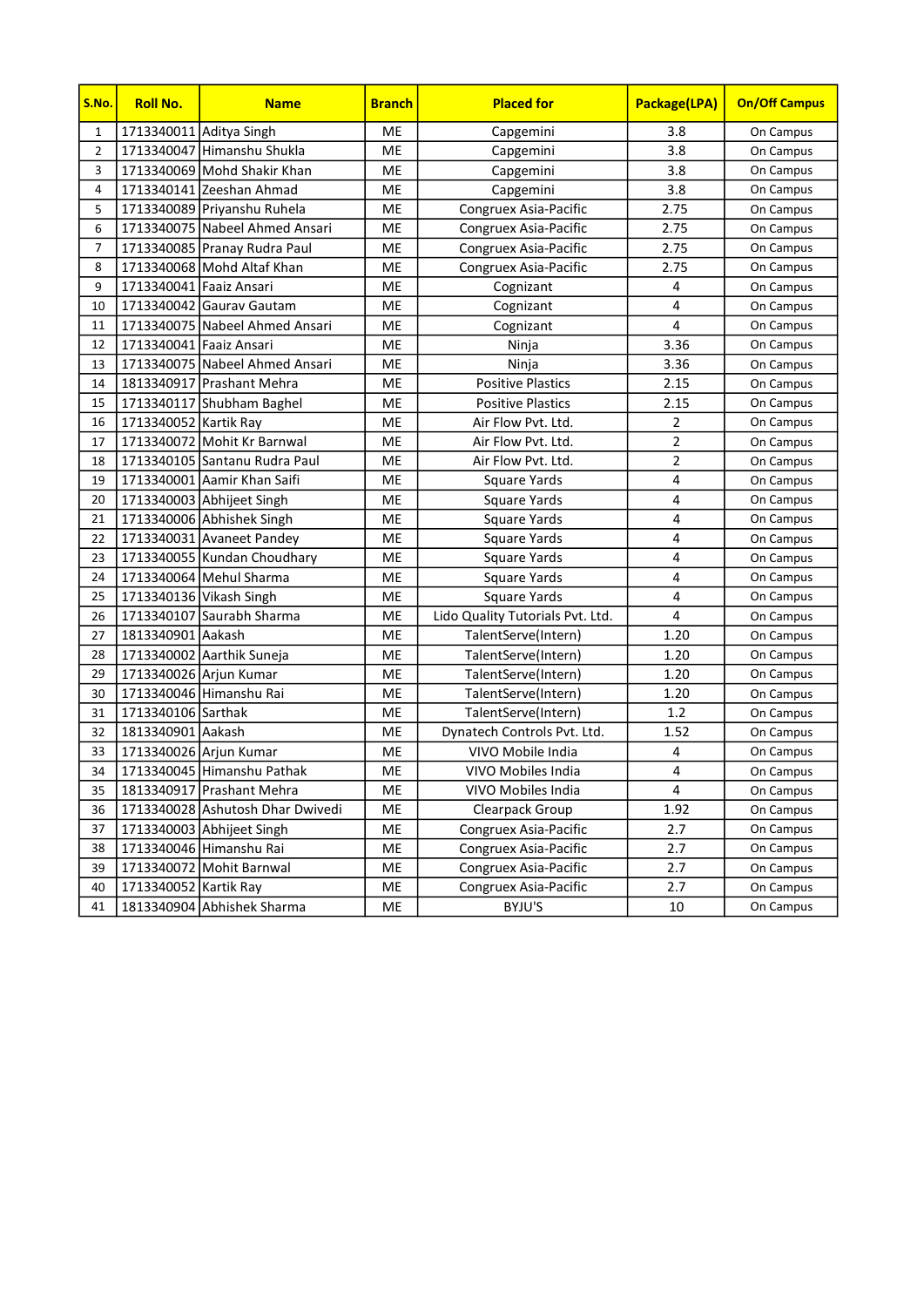| S.No.          | <b>Roll No.</b>         | <b>Name</b>                      | <b>Branch</b> | <b>Placed for</b>                | Package(LPA)   | <b>On/Off Campus</b> |
|----------------|-------------------------|----------------------------------|---------------|----------------------------------|----------------|----------------------|
| $\mathbf{1}$   | 1713340011 Aditya Singh |                                  | ME            | Capgemini                        | 3.8            | On Campus            |
| $\overline{2}$ |                         | 1713340047 Himanshu Shukla       | ME            | Capgemini                        | 3.8            | On Campus            |
| 3              |                         | 1713340069 Mohd Shakir Khan      | ME            | Capgemini                        | 3.8            | On Campus            |
| 4              |                         | 1713340141 Zeeshan Ahmad         | ME            | Capgemini                        | 3.8            | On Campus            |
| 5              |                         | 1713340089 Priyanshu Ruhela      | ME            | Congruex Asia-Pacific            | 2.75           | On Campus            |
| 6              |                         | 1713340075 Nabeel Ahmed Ansari   | ME            | Congruex Asia-Pacific            | 2.75           | On Campus            |
| 7              |                         | 1713340085 Pranay Rudra Paul     | ME            | Congruex Asia-Pacific            | 2.75           | On Campus            |
| 8              |                         | 1713340068 Mohd Altaf Khan       | ME            | Congruex Asia-Pacific            | 2.75           | On Campus            |
| 9              | 1713340041 Faaiz Ansari |                                  | ME            | Cognizant                        | 4              | On Campus            |
| 10             |                         | 1713340042 Gauray Gautam         | ME            | Cognizant                        | 4              | On Campus            |
| 11             |                         | 1713340075 Nabeel Ahmed Ansari   | ME            | Cognizant                        | 4              | On Campus            |
| 12             | 1713340041 Faaiz Ansari |                                  | ME            | Ninja                            | 3.36           | On Campus            |
| 13             |                         | 1713340075 Nabeel Ahmed Ansari   | ME            | Ninja                            | 3.36           | On Campus            |
| 14             |                         | 1813340917 Prashant Mehra        | ME            | <b>Positive Plastics</b>         | 2.15           | On Campus            |
| 15             |                         | 1713340117 Shubham Baghel        | ME            | <b>Positive Plastics</b>         | 2.15           | On Campus            |
| 16             | 1713340052 Kartik Ray   |                                  | ME            | Air Flow Pvt. Ltd.               | $\mathbf 2$    | On Campus            |
| 17             |                         | 1713340072 Mohit Kr Barnwal      | ME            | Air Flow Pvt. Ltd.               | $\overline{2}$ | On Campus            |
| 18             |                         | 1713340105 Santanu Rudra Paul    | ME            | Air Flow Pvt. Ltd.               | $\overline{2}$ | On Campus            |
| 19             |                         | 1713340001 Aamir Khan Saifi      | ME            | <b>Square Yards</b>              | 4              | On Campus            |
| 20             |                         | 1713340003 Abhijeet Singh        | ME            | Square Yards                     | 4              | On Campus            |
| 21             |                         | 1713340006 Abhishek Singh        | ME            | <b>Square Yards</b>              | 4              | On Campus            |
| 22             |                         | 1713340031 Avaneet Pandey        | ME            | Square Yards                     | 4              | On Campus            |
| 23             |                         | 1713340055 Kundan Choudhary      | ME            | Square Yards                     | 4              | On Campus            |
| 24             |                         | 1713340064 Mehul Sharma          | ME            | Square Yards                     | $\overline{4}$ | On Campus            |
| 25             | 1713340136 Vikash Singh |                                  | ME            | Square Yards                     | 4              | On Campus            |
| 26             |                         | 1713340107 Saurabh Sharma        | ME            | Lido Quality Tutorials Pvt. Ltd. | 4              | On Campus            |
| 27             | 1813340901 Aakash       |                                  | ME            | TalentServe(Intern)              | 1.20           | On Campus            |
| 28             |                         | 1713340002 Aarthik Suneja        | ME            | TalentServe(Intern)              | 1.20           | On Campus            |
| 29             | 1713340026 Arjun Kumar  |                                  | ME            | TalentServe(Intern)              | 1.20           | On Campus            |
| 30             |                         | 1713340046 Himanshu Rai          | ME            | TalentServe(Intern)              | 1.20           | On Campus            |
| 31             | 1713340106 Sarthak      |                                  | ME            | TalentServe(Intern)              | 1.2            | On Campus            |
| 32             | 1813340901 Aakash       |                                  | ME            | Dynatech Controls Pvt. Ltd.      | 1.52           | On Campus            |
| 33             | 1713340026 Arjun Kumar  |                                  | ME            | VIVO Mobile India                | 4              | On Campus            |
| 34             |                         | 1713340045 Himanshu Pathak       | ME            | VIVO Mobiles India               | 4              | On Campus            |
| 35             |                         | 1813340917 Prashant Mehra        | ME            | VIVO Mobiles India               | 4              | On Campus            |
| 36             |                         | 1713340028 Ashutosh Dhar Dwivedi | ME            | Clearpack Group                  | 1.92           | On Campus            |
| 37             |                         | 1713340003 Abhijeet Singh        | ME            | Congruex Asia-Pacific            | 2.7            | On Campus            |
| 38             |                         | 1713340046 Himanshu Rai          | ME            | Congruex Asia-Pacific            | 2.7            | On Campus            |
| 39             |                         | 1713340072 Mohit Barnwal         | ME            | Congruex Asia-Pacific            | 2.7            | On Campus            |
| 40             | 1713340052 Kartik Ray   |                                  | ME            | Congruex Asia-Pacific            | 2.7            | On Campus            |
| 41             |                         | 1813340904 Abhishek Sharma       | ME            | BYJU'S                           | 10             | On Campus            |